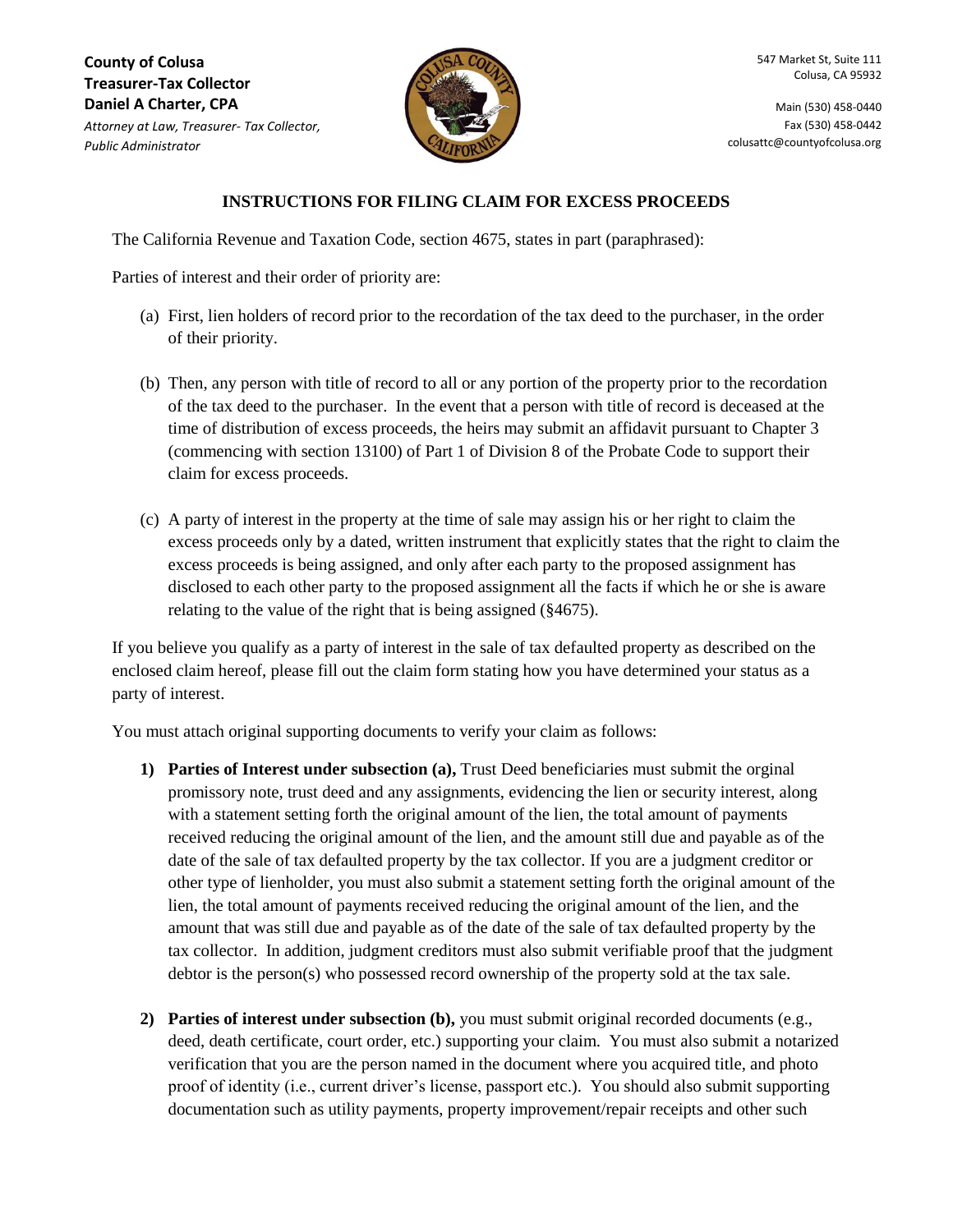**County of Colusa Treasurer-Tax Collector Daniel A Charter, CPA** *Attorney at Law, Treasurer- Tax Collector, Public Administrator*



Main (530) 458-0440 Fax (530) 458-0442 colusattc@countyofcolusa.org

## **INSTRUCTIONS FOR FILING CLAIM FOR EXCESS PROCEEDS**

The California Revenue and Taxation Code, section 4675, states in part (paraphrased):

Parties of interest and their order of priority are:

- (a) First, lien holders of record prior to the recordation of the tax deed to the purchaser, in the order of their priority.
- (b) Then, any person with title of record to all or any portion of the property prior to the recordation of the tax deed to the purchaser. In the event that a person with title of record is deceased at the time of distribution of excess proceeds, the heirs may submit an affidavit pursuant to Chapter 3 (commencing with section 13100) of Part 1 of Division 8 of the Probate Code to support their claim for excess proceeds.
- (c) A party of interest in the property at the time of sale may assign his or her right to claim the excess proceeds only by a dated, written instrument that explicitly states that the right to claim the excess proceeds is being assigned, and only after each party to the proposed assignment has disclosed to each other party to the proposed assignment all the facts if which he or she is aware relating to the value of the right that is being assigned (§4675).

If you believe you qualify as a party of interest in the sale of tax defaulted property as described on the enclosed claim hereof, please fill out the claim form stating how you have determined your status as a party of interest.

You must attach original supporting documents to verify your claim as follows:

- **1) Parties of Interest under subsection (a),** Trust Deed beneficiaries must submit the orginal promissory note, trust deed and any assignments, evidencing the lien or security interest, along with a statement setting forth the original amount of the lien, the total amount of payments received reducing the original amount of the lien, and the amount still due and payable as of the date of the sale of tax defaulted property by the tax collector. If you are a judgment creditor or other type of lienholder, you must also submit a statement setting forth the original amount of the lien, the total amount of payments received reducing the original amount of the lien, and the amount that was still due and payable as of the date of the sale of tax defaulted property by the tax collector. In addition, judgment creditors must also submit verifiable proof that the judgment debtor is the person(s) who possessed record ownership of the property sold at the tax sale.
- **2) Parties of interest under subsection (b),** you must submit original recorded documents (e.g., deed, death certificate, court order, etc.) supporting your claim. You must also submit a notarized verification that you are the person named in the document where you acquired title, and photo proof of identity (i.e., current driver's license, passport etc.). You should also submit supporting documentation such as utility payments, property improvement/repair receipts and other such